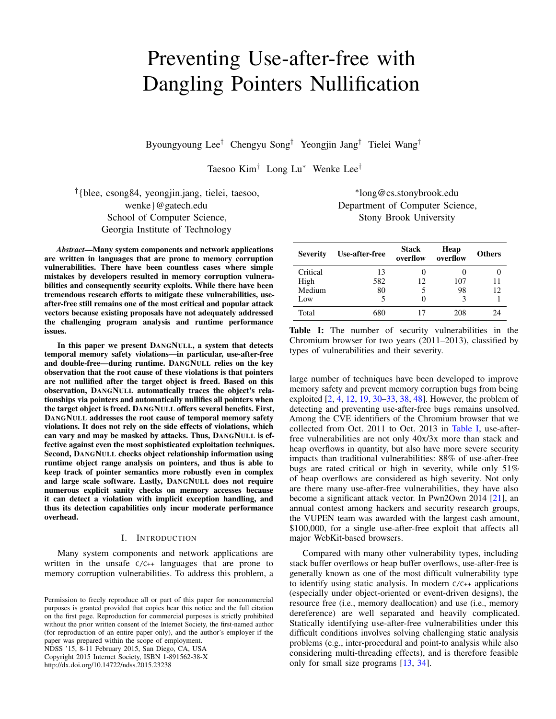# Preventing Use-after-free with Dangling Pointers Nullification

Byoungyoung Lee† Chengyu Song† Yeongjin Jang† Tielei Wang†

Taesoo Kim† Long Lu<sup>∗</sup> Wenke Lee†

† {blee, csong84, yeongjin.jang, tielei, taesoo, wenke}@gatech.edu School of Computer Science, Georgia Institute of Technology

*Abstract*—Many system components and network applications are written in languages that are prone to memory corruption vulnerabilities. There have been countless cases where simple mistakes by developers resulted in memory corruption vulnerabilities and consequently security exploits. While there have been tremendous research efforts to mitigate these vulnerabilities, useafter-free still remains one of the most critical and popular attack vectors because existing proposals have not adequately addressed the challenging program analysis and runtime performance issues.

In this paper we present DANGNULL, a system that detects temporal memory safety violations—in particular, use-after-free and double-free—during runtime. DANGNULL relies on the key observation that the root cause of these violations is that pointers are not nullified after the target object is freed. Based on this observation, DANGNULL automatically traces the object's relationships via pointers and automatically nullifies all pointers when the target object is freed. DANGNULL offers several benefits. First, DANGNULL addresses the root cause of temporal memory safety violations. It does not rely on the side effects of violations, which can vary and may be masked by attacks. Thus, DANGNULL is effective against even the most sophisticated exploitation techniques. Second, DANGNULL checks object relationship information using runtime object range analysis on pointers, and thus is able to keep track of pointer semantics more robustly even in complex and large scale software. Lastly, DANGNULL does not require numerous explicit sanity checks on memory accesses because it can detect a violation with implicit exception handling, and thus its detection capabilities only incur moderate performance overhead.

#### I. INTRODUCTION

Many system components and network applications are written in the unsafe C/C++ languages that are prone to memory corruption vulnerabilities. To address this problem, a

NDSS '15, 8-11 February 2015, San Diego, CA, USA Copyright 2015 Internet Society, ISBN 1-891562-38-X http://dx.doi.org/10.14722/ndss.2015.23238

# <span id="page-0-0"></span>∗ long@cs.stonybrook.edu Department of Computer Science, Stony Brook University

| <b>Severity</b> | Use-after-free | <b>Stack</b><br>overflow<br>overflow |     | <b>Others</b> |  |
|-----------------|----------------|--------------------------------------|-----|---------------|--|
| Critical        | 13             |                                      |     |               |  |
| High            | 582            | 12                                   | 107 | 11            |  |
| Medium          | 80             |                                      | 98  | 12            |  |
| Low             |                |                                      |     |               |  |
| Total           | 680            | 17                                   | 208 | 24            |  |

Table I: The number of security vulnerabilities in the Chromium browser for two years (2011–2013), classified by types of vulnerabilities and their severity.

large number of techniques have been developed to improve memory safety and prevent memory corruption bugs from being exploited [\[2,](#page-13-0) [4,](#page-13-1) [12,](#page-14-0) [19,](#page-14-1) [30–](#page-14-2)[33,](#page-14-3) [38,](#page-14-4) [48\]](#page-14-5). However, the problem of detecting and preventing use-after-free bugs remains unsolved. Among the CVE identifiers of the Chromium browser that we collected from Oct. 2011 to Oct. 2013 in [Table I,](#page-0-0) use-afterfree vulnerabilities are not only 40x/3x more than stack and heap overflows in quantity, but also have more severe security impacts than traditional vulnerabilities: 88% of use-after-free bugs are rated critical or high in severity, while only 51% of heap overflows are considered as high severity. Not only are there many use-after-free vulnerabilities, they have also become a significant attack vector. In Pwn2Own 2014 [\[21\]](#page-14-6), an annual contest among hackers and security research groups, the VUPEN team was awarded with the largest cash amount, \$100,000, for a single use-after-free exploit that affects all major WebKit-based browsers.

Compared with many other vulnerability types, including stack buffer overflows or heap buffer overflows, use-after-free is generally known as one of the most difficult vulnerability type to identify using static analysis. In modern C/C++ applications (especially under object-oriented or event-driven designs), the resource free (i.e., memory deallocation) and use (i.e., memory dereference) are well separated and heavily complicated. Statically identifying use-after-free vulnerabilities under this difficult conditions involves solving challenging static analysis problems (e.g., inter-procedural and point-to analysis while also considering multi-threading effects), and is therefore feasible only for small size programs [\[13,](#page-14-7) [34\]](#page-14-8).

Permission to freely reproduce all or part of this paper for noncommercial purposes is granted provided that copies bear this notice and the full citation on the first page. Reproduction for commercial purposes is strictly prohibited without the prior written consent of the Internet Society, the first-named author (for reproduction of an entire paper only), and the author's employer if the paper was prepared within the scope of employment.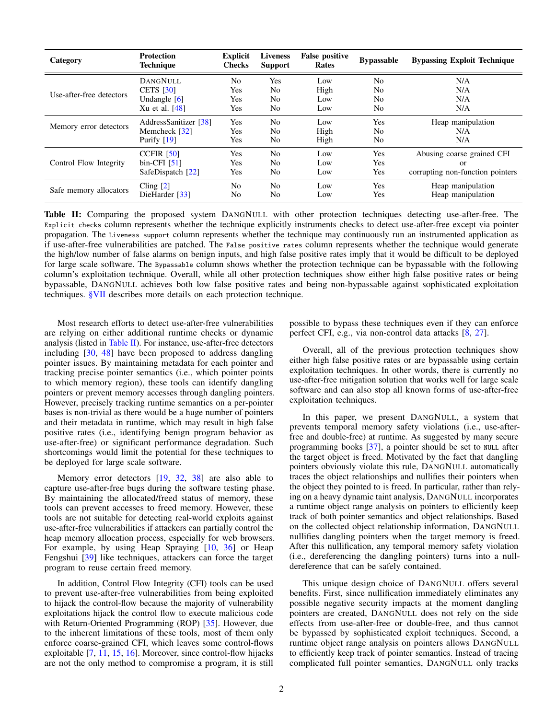| Category                 | <b>Protection</b><br><b>Technique</b> | <b>Explicit</b><br><b>Checks</b> | <b>Liveness</b><br><b>Support</b> | <b>False positive</b><br>Rates | <b>Bypassable</b> | <b>Bypassing Exploit Technique</b> |
|--------------------------|---------------------------------------|----------------------------------|-----------------------------------|--------------------------------|-------------------|------------------------------------|
|                          | <b>DANGNULL</b>                       | N <sub>o</sub>                   | Yes                               | Low                            | No                | N/A                                |
| Use-after-free detectors | <b>CETS</b> [30]                      | Yes                              | No                                | High                           | No                | N/A                                |
|                          | Undangle $[6]$                        | Yes                              | No                                | Low                            | No                | N/A                                |
|                          | Xu et al. $[48]$                      | Yes                              | No                                | Low                            | No                | N/A                                |
|                          | AddressSanitizer [38]                 | Yes                              | No                                | Low                            | Yes               | Heap manipulation                  |
| Memory error detectors   | Memcheck [32]                         | Yes                              | No                                | High                           | No                | N/A                                |
|                          | Purify $[19]$                         | Yes                              | No                                | High                           | No                | N/A                                |
|                          | CCFIR $[50]$                          | Yes                              | N <sub>0</sub>                    | Low                            | Yes               | Abusing coarse grained CFI         |
| Control Flow Integrity   | $bin-CFI$ [51]                        | Yes                              | No                                | Low                            | <b>Yes</b>        | or                                 |
|                          | SafeDispatch [22]                     | Yes                              | No                                | Low                            | Yes               | corrupting non-function pointers   |
|                          | Cling $[2]$                           | No                               | No                                | Low                            | Yes               | Heap manipulation                  |
| Safe memory allocators   | DieHarder [33]                        | No                               | No                                | Low                            | Yes               | Heap manipulation                  |

<span id="page-1-0"></span>Table II: Comparing the proposed system DANGNULL with other protection techniques detecting use-after-free. The Explicit checks column represents whether the technique explicitly instruments checks to detect use-after-free except via pointer propagation. The Liveness support column represents whether the technique may continuously run an instrumented application as if use-after-free vulnerabilities are patched. The False positive rates column represents whether the technique would generate the high/low number of false alarms on benign inputs, and high false positive rates imply that it would be difficult to be deployed for large scale software. The Bypassable column shows whether the protection technique can be bypassable with the following column's exploitation technique. Overall, while all other protection techniques show either high false positive rates or being bypassable, DANGNULL achieves both low false positive rates and being non-bypassable against sophisticated exploitation techniques. [§VII](#page-11-0) describes more details on each protection technique.

Most research efforts to detect use-after-free vulnerabilities are relying on either additional runtime checks or dynamic analysis (listed in [Table II\)](#page-1-0). For instance, use-after-free detectors including [\[30,](#page-14-2) [48\]](#page-14-5) have been proposed to address dangling pointer issues. By maintaining metadata for each pointer and tracking precise pointer semantics (i.e., which pointer points to which memory region), these tools can identify dangling pointers or prevent memory accesses through dangling pointers. However, precisely tracking runtime semantics on a per-pointer bases is non-trivial as there would be a huge number of pointers and their metadata in runtime, which may result in high false positive rates (i.e., identifying benign program behavior as use-after-free) or significant performance degradation. Such shortcomings would limit the potential for these techniques to be deployed for large scale software.

Memory error detectors [\[19,](#page-14-1) [32,](#page-14-9) [38\]](#page-14-4) are also able to capture use-after-free bugs during the software testing phase. By maintaining the allocated/freed status of memory, these tools can prevent accesses to freed memory. However, these tools are not suitable for detecting real-world exploits against use-after-free vulnerabilities if attackers can partially control the heap memory allocation process, especially for web browsers. For example, by using Heap Spraying [\[10,](#page-14-13) [36\]](#page-14-14) or Heap Fengshui [\[39\]](#page-14-15) like techniques, attackers can force the target program to reuse certain freed memory.

In addition, Control Flow Integrity (CFI) tools can be used to prevent use-after-free vulnerabilities from being exploited to hijack the control-flow because the majority of vulnerability exploitations hijack the control flow to execute malicious code with Return-Oriented Programming (ROP) [\[35\]](#page-14-16). However, due to the inherent limitations of these tools, most of them only enforce coarse-grained CFI, which leaves some control-flows exploitable [\[7,](#page-13-3) [11,](#page-14-17) [15,](#page-14-18) [16\]](#page-14-19). Moreover, since control-flow hijacks are not the only method to compromise a program, it is still possible to bypass these techniques even if they can enforce perfect CFI, e.g., via non-control data attacks [\[8,](#page-13-4) [27\]](#page-14-20).

Overall, all of the previous protection techniques show either high false positive rates or are bypassable using certain exploitation techniques. In other words, there is currently no use-after-free mitigation solution that works well for large scale software and can also stop all known forms of use-after-free exploitation techniques.

In this paper, we present DANGNULL, a system that prevents temporal memory safety violations (i.e., use-afterfree and double-free) at runtime. As suggested by many secure programming books [\[37\]](#page-14-21), a pointer should be set to NULL after the target object is freed. Motivated by the fact that dangling pointers obviously violate this rule, DANGNULL automatically traces the object relationships and nullifies their pointers when the object they pointed to is freed. In particular, rather than relying on a heavy dynamic taint analysis, DANGNULL incorporates a runtime object range analysis on pointers to efficiently keep track of both pointer semantics and object relationships. Based on the collected object relationship information, DANGNULL nullifies dangling pointers when the target memory is freed. After this nullification, any temporal memory safety violation (i.e., dereferencing the dangling pointers) turns into a nulldereference that can be safely contained.

This unique design choice of DANGNULL offers several benefits. First, since nullification immediately eliminates any possible negative security impacts at the moment dangling pointers are created, DANGNULL does not rely on the side effects from use-after-free or double-free, and thus cannot be bypassed by sophisticated exploit techniques. Second, a runtime object range analysis on pointers allows DANGNULL to efficiently keep track of pointer semantics. Instead of tracing complicated full pointer semantics, DANGNULL only tracks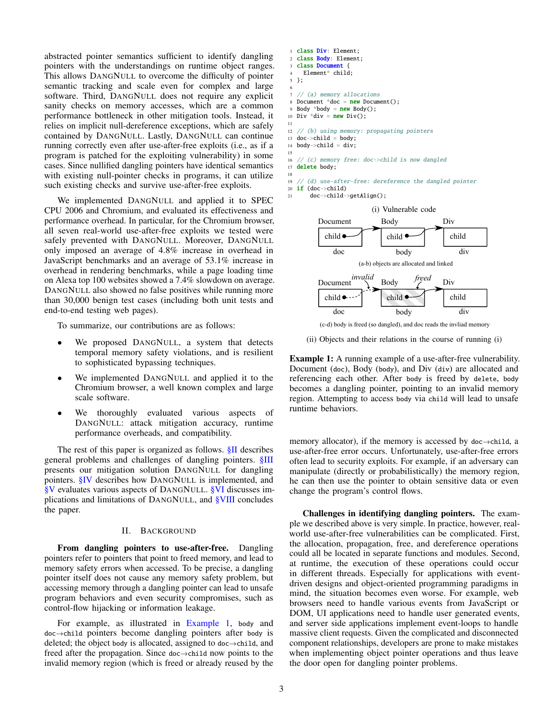abstracted pointer semantics sufficient to identify dangling pointers with the understandings on runtime object ranges. This allows DANGNULL to overcome the difficulty of pointer semantic tracking and scale even for complex and large software. Third, DANGNULL does not require any explicit sanity checks on memory accesses, which are a common performance bottleneck in other mitigation tools. Instead, it relies on implicit null-dereference exceptions, which are safely contained by DANGNULL. Lastly, DANGNULL can continue running correctly even after use-after-free exploits (i.e., as if a program is patched for the exploiting vulnerability) in some cases. Since nullified dangling pointers have identical semantics with existing null-pointer checks in programs, it can utilize such existing checks and survive use-after-free exploits.

We implemented DANGNULL and applied it to SPEC CPU 2006 and Chromium, and evaluated its effectiveness and performance overhead. In particular, for the Chromium browser, all seven real-world use-after-free exploits we tested were safely prevented with DANGNULL. Moreover, DANGNULL only imposed an average of 4.8% increase in overhead in JavaScript benchmarks and an average of 53.1% increase in overhead in rendering benchmarks, while a page loading time on Alexa top 100 websites showed a 7.4% slowdown on average. DANGNULL also showed no false positives while running more than 30,000 benign test cases (including both unit tests and end-to-end testing web pages).

To summarize, our contributions are as follows:

- We proposed DANGNULL, a system that detects temporal memory safety violations, and is resilient to sophisticated bypassing techniques.
- We implemented DANGNULL and applied it to the Chromium browser, a well known complex and large scale software.
- We thoroughly evaluated various aspects of DANGNULL: attack mitigation accuracy, runtime performance overheads, and compatibility.

The rest of this paper is organized as follows. [§II](#page-2-0) describes general problems and challenges of dangling pointers. [§III](#page-3-0) presents our mitigation solution DANGNULL for dangling pointers. [§IV](#page-6-0) describes how DANGNULL is implemented, and [§V](#page-7-0) evaluates various aspects of DANGNULL. [§VI](#page-10-0) discusses implications and limitations of DANGNULL, and [§VIII](#page-13-5) concludes the paper.

#### II. BACKGROUND

<span id="page-2-0"></span>From dangling pointers to use-after-free. Dangling pointers refer to pointers that point to freed memory, and lead to memory safety errors when accessed. To be precise, a dangling pointer itself does not cause any memory safety problem, but accessing memory through a dangling pointer can lead to unsafe program behaviors and even security compromises, such as control-flow hijacking or information leakage.

For example, as illustrated in [Example 1,](#page-2-1) body and doc→child pointers become dangling pointers after body is deleted; the object body is allocated, assigned to doc→child, and freed after the propagation. Since doc→child now points to the invalid memory region (which is freed or already reused by the

```
1 class Div: Element;
  class Body: Element;
  3 class Document {
    Element* child;
5 };
 6
   // (a) memory allocations
  Document *doc = new Document();
  Body *body = new Body();
10 Div *div = new Div();
11
12 // (b) using memory: propagating pointers
13 \text{ doc->child} = \text{body};14 body->child = div;
15
16 // (c) memory free: doc->child is now dangled
17 delete body;
18
19 // (d) use-after-free: dereference the dangled pointer
20 if (doc->child)
```
21 doc->child->getAlign();



(ii) Objects and their relations in the course of running (i)

<span id="page-2-1"></span>Example 1: A running example of a use-after-free vulnerability. Document (doc), Body (body), and Div (div) are allocated and referencing each other. After body is freed by delete, body becomes a dangling pointer, pointing to an invalid memory region. Attempting to access body via child will lead to unsafe runtime behaviors.

memory allocator), if the memory is accessed by  $doc \rightarrow child$ , a use-after-free error occurs. Unfortunately, use-after-free errors often lead to security exploits. For example, if an adversary can manipulate (directly or probabilistically) the memory region, he can then use the pointer to obtain sensitive data or even change the program's control flows.

Challenges in identifying dangling pointers. The example we described above is very simple. In practice, however, realworld use-after-free vulnerabilities can be complicated. First, the allocation, propagation, free, and dereference operations could all be located in separate functions and modules. Second, at runtime, the execution of these operations could occur in different threads. Especially for applications with eventdriven designs and object-oriented programming paradigms in mind, the situation becomes even worse. For example, web browsers need to handle various events from JavaScript or DOM, UI applications need to handle user generated events, and server side applications implement event-loops to handle massive client requests. Given the complicated and disconnected component relationships, developers are prone to make mistakes when implementing object pointer operations and thus leave the door open for dangling pointer problems.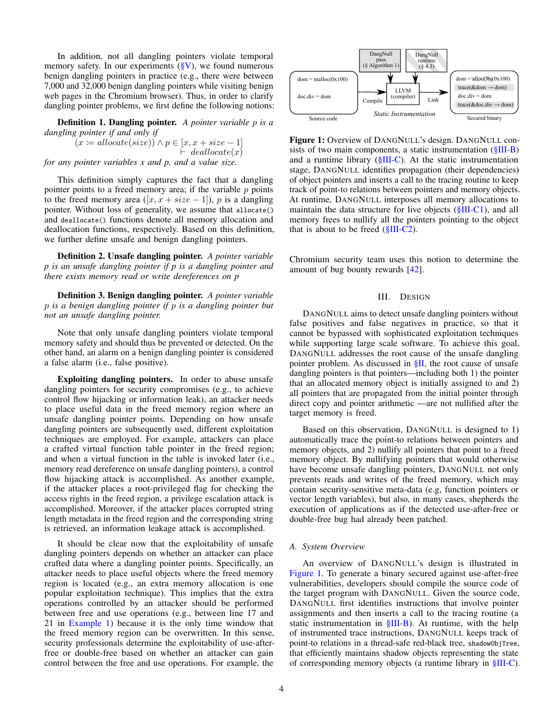In addition, not all dangling pointers violate temporal memory safety. In our experiments  $(\S{V})$ , we found numerous benign dangling pointers in practice (e.g., there were between 7,000 and 32,000 benign dangling pointers while visiting benign web pages in the Chromium browser). Thus, in order to clarify dangling pointer problems, we first define the following notions:

Definition 1. Dangling pointer. *A pointer variable* p *is a dangling pointer if and only if*

 $(x \coloneqq \text{alloc}(size)) \land p \in [x, x + size - 1]$  $\vdash$  deallocate $(x)$ *for any pointer variables x and p, and a value size.*

This definition simply captures the fact that a dangling pointer points to a freed memory area; if the variable  $p$  points to the freed memory area  $([x, x + size - 1])$ , p is a dangling pointer. Without loss of generality, we assume that allocate() and deallocate() functions denote all memory allocation and deallocation functions, respectively. Based on this definition, we further define unsafe and benign dangling pointers.

Definition 2. Unsafe dangling pointer. *A pointer variable p is an unsafe dangling pointer if p is a dangling pointer and there exists memory read or write dereferences on p*

Definition 3. Benign dangling pointer. *A pointer variable* p *is a benign dangling pointer if* p *is a dangling pointer but not an unsafe dangling pointer.*

Note that only unsafe dangling pointers violate temporal memory safety and should thus be prevented or detected. On the other hand, an alarm on a benign dangling pointer is considered a false alarm (i.e., false positive).

Exploiting dangling pointers. In order to abuse unsafe dangling pointers for security compromises (e.g., to achieve control flow hijacking or information leak), an attacker needs to place useful data in the freed memory region where an unsafe dangling pointer points. Depending on how unsafe dangling pointers are subsequently used, different exploitation techniques are employed. For example, attackers can place a crafted virtual function table pointer in the freed region; and when a virtual function in the table is invoked later (i.e., memory read dereference on unsafe dangling pointers), a control flow hijacking attack is accomplished. As another example, if the attacker places a root-privileged flag for checking the access rights in the freed region, a privilege escalation attack is accomplished. Moreover, if the attacker places corrupted string length metadata in the freed region and the corresponding string is retrieved, an information leakage attack is accomplished.

It should be clear now that the exploitability of unsafe dangling pointers depends on whether an attacker can place crafted data where a dangling pointer points. Specifically, an attacker needs to place useful objects where the freed memory region is located (e.g., an extra memory allocation is one popular exploitation technique). This implies that the extra operations controlled by an attacker should be performed between free and use operations (e.g., between line 17 and 21 in [Example 1\)](#page-2-1) because it is the only time window that the freed memory region can be overwritten. In this sense, security professionals determine the exploitability of use-afterfree or double-free based on whether an attacker can gain control between the free and use operations. For example, the



<span id="page-3-1"></span>Figure 1: Overview of DANGNULL's design. DANGNULL consists of two main components, a static instrumentation [\(§III-B\)](#page-4-0) and a runtime library  $(\S$ III-C). At the static instrumentation stage, DANGNULL identifies propagation (their dependencies) of object pointers and inserts a call to the tracing routine to keep track of point-to relations between pointers and memory objects. At runtime, DANGNULL interposes all memory allocations to maintain the data structure for live objects ( $\frac{\text{SIII-C1}}{\text{O}}$ ), and all memory frees to nullify all the pointers pointing to the object that is about to be freed  $(\frac{8 \text{III} - \text{C2}}{2})$ .

Chromium security team uses this notion to determine the amount of bug bounty rewards [\[42\]](#page-14-22).

#### III. DESIGN

<span id="page-3-0"></span>DANGNULL aims to detect unsafe dangling pointers without false positives and false negatives in practice, so that it cannot be bypassed with sophisticated exploitation techniques while supporting large scale software. To achieve this goal, DANGNULL addresses the root cause of the unsafe dangling pointer problem. As discussed in  $\S$ II, the root cause of unsafe dangling pointers is that pointers—including both 1) the pointer that an allocated memory object is initially assigned to and 2) all pointers that are propagated from the initial pointer through direct copy and pointer arithmetic —are not nullified after the target memory is freed.

Based on this observation, DANGNULL is designed to 1) automatically trace the point-to relations between pointers and memory objects, and 2) nullify all pointers that point to a freed memory object. By nullifying pointers that would otherwise have become unsafe dangling pointers, DANGNULL not only prevents reads and writes of the freed memory, which may contain security-sensitive meta-data (e.g, function pointers or vector length variables), but also, in many cases, shepherds the execution of applications as if the detected use-after-free or double-free bug had already been patched.

#### *A. System Overview*

An overview of DANGNULL's design is illustrated in [Figure 1.](#page-3-1) To generate a binary secured against use-after-free vulnerabilities, developers should compile the source code of the target program with DANGNULL. Given the source code, DANGNULL first identifies instructions that involve pointer assignments and then inserts a call to the tracing routine (a static instrumentation in [§III-B\)](#page-4-0). At runtime, with the help of instrumented trace instructions, DANGNULL keeps track of point-to relations in a thread-safe red-black tree, shadowObjTree, that efficiently maintains shadow objects representing the state of corresponding memory objects (a runtime library in [§III-C\)](#page-4-1).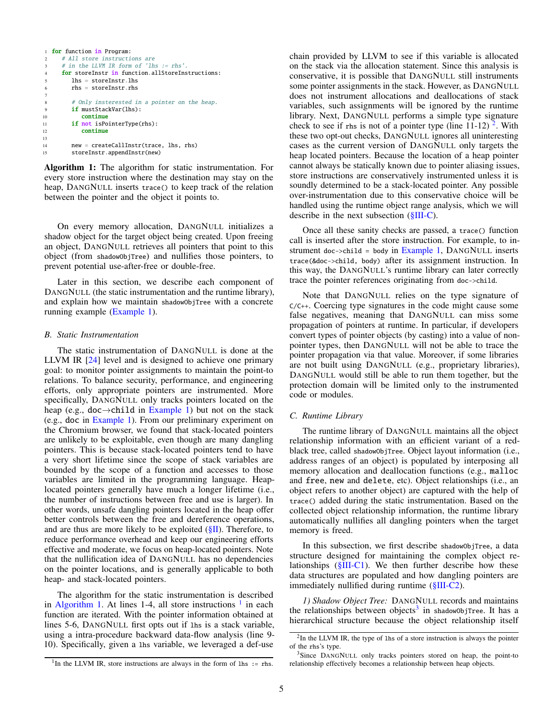```
1 for function in Program:
2 # All store instructions are
     # in the LLVM IR form of 'lhs := rhs'.
     for storeInstr in function.allStoreInstructions:
       1<sub>hs</sub> = storeInsert.6 rhs = storeInstr.rhs
7
8 # Only insterested in a pointer on the heap.
9 if mustStackVar(lhs):
10 continue
11 if not isPointerType(rhs):
12 continue
13
14 new = createCallInstr(trace, lhs, rhs)
15 storeInstr.appendInstr(new)
```
<span id="page-4-3"></span>Algorithm 1: The algorithm for static instrumentation. For every store instruction where the destination may stay on the heap, DANGNULL inserts trace() to keep track of the relation between the pointer and the object it points to.

On every memory allocation, DANGNULL initializes a shadow object for the target object being created. Upon freeing an object, DANGNULL retrieves all pointers that point to this object (from shadowObjTree) and nullifies those pointers, to prevent potential use-after-free or double-free.

Later in this section, we describe each component of DANGNULL (the static instrumentation and the runtime library), and explain how we maintain shadowObjTree with a concrete running example [\(Example 1\)](#page-2-1).

# <span id="page-4-0"></span>*B. Static Instrumentation*

The static instrumentation of DANGNULL is done at the LLVM IR [\[24\]](#page-14-23) level and is designed to achieve one primary goal: to monitor pointer assignments to maintain the point-to relations. To balance security, performance, and engineering efforts, only appropriate pointers are instrumented. More specifically, DANGNULL only tracks pointers located on the heap (e.g., doc $\rightarrow$ child in [Example 1\)](#page-2-1) but not on the stack (e.g., doc in [Example 1\)](#page-2-1). From our preliminary experiment on the Chromium browser, we found that stack-located pointers are unlikely to be exploitable, even though are many dangling pointers. This is because stack-located pointers tend to have a very short lifetime since the scope of stack variables are bounded by the scope of a function and accesses to those variables are limited in the programming language. Heaplocated pointers generally have much a longer lifetime (i.e., the number of instructions between free and use is larger). In other words, unsafe dangling pointers located in the heap offer better controls between the free and dereference operations, and are thus are more likely to be exploited  $(\S\Pi)$ . Therefore, to reduce performance overhead and keep our engineering efforts effective and moderate, we focus on heap-located pointers. Note that the nullification idea of DANGNULL has no dependencies on the pointer locations, and is generally applicable to both heap- and stack-located pointers.

The algorithm for the static instrumentation is described in [Algorithm 1.](#page-4-3) At lines [1](#page-4-4)-4, all store instructions  $<sup>1</sup>$  in each</sup> function are iterated. With the pointer information obtained at lines 5-6, DANGNULL first opts out if lhs is a stack variable, using a intra-procedure backward data-flow analysis (line 9- 10). Specifically, given a lhs variable, we leveraged a def-use

chain provided by LLVM to see if this variable is allocated on the stack via the allocation statement. Since this analysis is conservative, it is possible that DANGNULL still instruments some pointer assignments in the stack. However, as DANGNULL does not instrument allocations and deallocations of stack variables, such assignments will be ignored by the runtime library. Next, DANGNULL performs a simple type signature check to see if rhs is not of a pointer type (line  $11-12$  $11-12$ )<sup>2</sup>. With these two opt-out checks, DANGNULL ignores all uninteresting cases as the current version of DANGNULL only targets the heap located pointers. Because the location of a heap pointer cannot always be statically known due to pointer aliasing issues, store instructions are conservatively instrumented unless it is soundly determined to be a stack-located pointer. Any possible over-instrumentation due to this conservative choice will be handled using the runtime object range analysis, which we will describe in the next subsection [\(§III-C\)](#page-4-1).

Once all these sanity checks are passed, a trace() function call is inserted after the store instruction. For example, to instrument doc- $>$ child = body in [Example 1,](#page-2-1) DANGNULL inserts trace(&doc->child, body) after its assignment instruction. In this way, the DANGNULL's runtime library can later correctly trace the pointer references originating from doc->child.

Note that DANGNULL relies on the type signature of  $C/C++$ . Coercing type signatures in the code might cause some false negatives, meaning that DANGNULL can miss some propagation of pointers at runtime. In particular, if developers convert types of pointer objects (by casting) into a value of nonpointer types, then DANGNULL will not be able to trace the pointer propagation via that value. Moreover, if some libraries are not built using DANGNULL (e.g., proprietary libraries), DANGNULL would still be able to run them together, but the protection domain will be limited only to the instrumented code or modules.

# <span id="page-4-1"></span>*C. Runtime Library*

The runtime library of DANGNULL maintains all the object relationship information with an efficient variant of a redblack tree, called shadowObjTree. Object layout information (i.e., address ranges of an object) is populated by interposing all memory allocation and deallocation functions (e.g., malloc and free, new and delete, etc). Object relationships (i.e., an object refers to another object) are captured with the help of trace() added during the static instrumentation. Based on the collected object relationship information, the runtime library automatically nullifies all dangling pointers when the target memory is freed.

In this subsection, we first describe shadowObjTree, a data structure designed for maintaining the complex object relationships  $(\frac{8 \text{III}}{1})$ . We then further describe how these data structures are populated and how dangling pointers are immediately nullified during runtime [\(§III-C2\)](#page-5-0).

<span id="page-4-2"></span>*1) Shadow Object Tree:* DANGNULL records and maintains the relationships between objects<sup>[3](#page-4-6)</sup> in shadow0bjTree. It has a hierarchical structure because the object relationship itself

<span id="page-4-5"></span> $2$ In the LLVM IR, the type of 1hs of a store instruction is always the pointer of the rhs's type.

<span id="page-4-4"></span><sup>&</sup>lt;sup>1</sup>In the LLVM IR, store instructions are always in the form of 1hs := rhs.

<span id="page-4-6"></span><sup>&</sup>lt;sup>3</sup>Since DANGNULL only tracks pointers stored on heap, the point-to relationship effectively becomes a relationship between heap objects.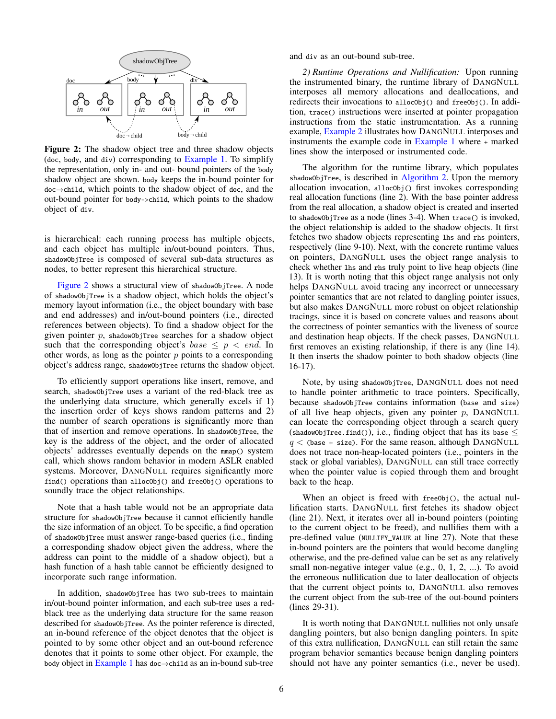

Figure 2: The shadow object tree and three shadow objects (doc, body, and div) corresponding to [Example 1.](#page-2-1) To simplify the representation, only in- and out- bound pointers of the body shadow object are shown. body keeps the in-bound pointer for doc→child, which points to the shadow object of doc, and the out-bound pointer for body->child, which points to the shadow object of div.

is hierarchical: each running process has multiple objects, and each object has multiple in/out-bound pointers. Thus, shadowObjTree is composed of several sub-data structures as nodes, to better represent this hierarchical structure.

[Figure 2](#page-5-1) shows a structural view of shadowObjTree. A node of shadowObjTree is a shadow object, which holds the object's memory layout information (i.e., the object boundary with base and end addresses) and in/out-bound pointers (i.e., directed references between objects). To find a shadow object for the given pointer  $p$ , shadowObjTree searches for a shadow object such that the corresponding object's base  $\leq p \leq end$ . In other words, as long as the pointer  $p$  points to a corresponding object's address range, shadowObjTree returns the shadow object.

To efficiently support operations like insert, remove, and search, shadowObjTree uses a variant of the red-black tree as the underlying data structure, which generally excels if 1) the insertion order of keys shows random patterns and 2) the number of search operations is significantly more than that of insertion and remove operations. In shadowObjTree, the key is the address of the object, and the order of allocated objects' addresses eventually depends on the mmap() system call, which shows random behavior in modern ASLR enabled systems. Moreover, DANGNULL requires significantly more find() operations than alloc0bj() and free0bj() operations to soundly trace the object relationships.

Note that a hash table would not be an appropriate data structure for shadowObjTree because it cannot efficiently handle the size information of an object. To be specific, a find operation of shadowObjTree must answer range-based queries (i.e., finding a corresponding shadow object given the address, where the address can point to the middle of a shadow object), but a hash function of a hash table cannot be efficiently designed to incorporate such range information.

In addition, shadowObjTree has two sub-trees to maintain in/out-bound pointer information, and each sub-tree uses a redblack tree as the underlying data structure for the same reason described for shadowObjTree. As the pointer reference is directed, an in-bound reference of the object denotes that the object is pointed to by some other object and an out-bound reference denotes that it points to some other object. For example, the body object in [Example 1](#page-2-1) has doc $\rightarrow$ child as an in-bound sub-tree

<span id="page-5-0"></span>and div as an out-bound sub-tree.

*2) Runtime Operations and Nullification:* Upon running the instrumented binary, the runtime library of DANGNULL interposes all memory allocations and deallocations, and redirects their invocations to alloc<sup>ob</sup>j() and free<sup>Obj</sup>(). In addition, trace() instructions were inserted at pointer propagation instructions from the static instrumentation. As a running example, [Example 2](#page-6-1) illustrates how DANGNULL interposes and instruments the example code in [Example 1](#page-2-1) where + marked lines show the interposed or instrumented code.

<span id="page-5-1"></span>The algorithm for the runtime library, which populates shadowObjTree, is described in [Algorithm 2.](#page-6-2) Upon the memory allocation invocation, allocObj() first invokes corresponding real allocation functions (line 2). With the base pointer address from the real allocation, a shadow object is created and inserted to shadowObjTree as a node (lines 3-4). When trace() is invoked, the object relationship is added to the shadow objects. It first fetches two shadow objects representing lhs and rhs pointers, respectively (line 9-10). Next, with the concrete runtime values on pointers, DANGNULL uses the object range analysis to check whether lhs and rhs truly point to live heap objects (line 13). It is worth noting that this object range analysis not only helps DANGNULL avoid tracing any incorrect or unnecessary pointer semantics that are not related to dangling pointer issues, but also makes DANGNULL more robust on object relationship tracings, since it is based on concrete values and reasons about the correctness of pointer semantics with the liveness of source and destination heap objects. If the check passes, DANGNULL first removes an existing relationship, if there is any (line 14). It then inserts the shadow pointer to both shadow objects (line 16-17).

Note, by using shadowObjTree, DANGNULL does not need to handle pointer arithmetic to trace pointers. Specifically, because shadowObjTree contains information (base and size) of all live heap objects, given any pointer  $p$ , DANGNULL can locate the corresponding object through a search query (shadowObjTree.find()), i.e., finding object that has its base  $\leq$  $q \lt$  (base + size). For the same reason, although DANGNULL does not trace non-heap-located pointers (i.e., pointers in the stack or global variables), DANGNULL can still trace correctly when the pointer value is copied through them and brought back to the heap.

When an object is freed with freeObj(), the actual nullification starts. DANGNULL first fetches its shadow object (line 21). Next, it iterates over all in-bound pointers (pointing to the current object to be freed), and nullifies them with a pre-defined value (NULLIFY\_VALUE at line 27). Note that these in-bound pointers are the pointers that would become dangling otherwise, and the pre-defined value can be set as any relatively small non-negative integer value (e.g., 0, 1, 2, ...). To avoid the erroneous nullification due to later deallocation of objects that the current object points to, DANGNULL also removes the current object from the sub-tree of the out-bound pointers (lines 29-31).

It is worth noting that DANGNULL nullifies not only unsafe dangling pointers, but also benign dangling pointers. In spite of this extra nullification, DANGNULL can still retain the same program behavior semantics because benign dangling pointers should not have any pointer semantics (i.e., never be used).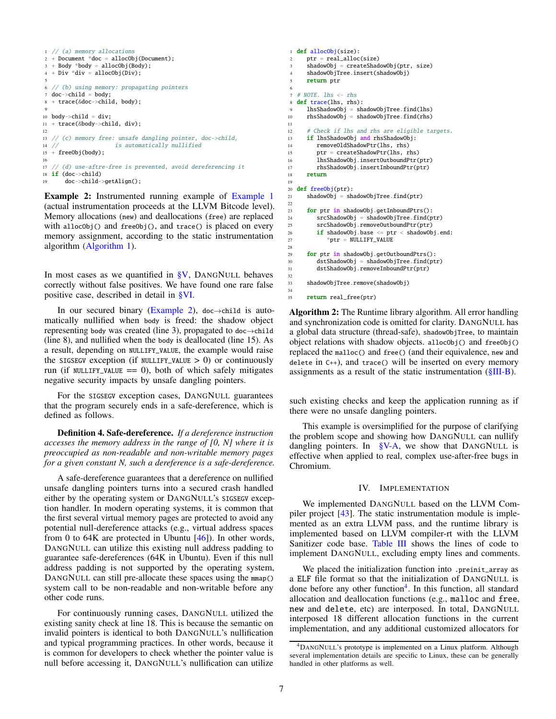```
1 // (a) memory allocations
2 + Document *doc = allocObj(Document);
3 + Body *body = allocObj(Body);
4 + Div *div = allocObj(Div);5
 6 // (b) using memory: propagating pointers
7 doc->child = body;
8 + trace(&doc->child, body);
 9
10 body->child = div:
11 + trace(&body->child, div);
12
13 // (c) memory free: unsafe dangling pointer, doc->child,
14 // is automatically nullified
15 + freeObj(body);
16
17 // (d) use-aftre-free is prevented, avoid dereferencing it
18 if (doc->child)19 doc->child->getAlign();
```
<span id="page-6-1"></span>Example 2: Instrumented running example of [Example 1](#page-2-1) (actual instrumentation proceeds at the LLVM Bitcode level). Memory allocations (new) and deallocations (free) are replaced with allocObj() and freeObj(), and trace() is placed on every memory assignment, according to the static instrumentation algorithm [\(Algorithm 1\)](#page-4-3).

In most cases as we quantified in  $\frac{8}{9}V$ , DANGNULL behaves correctly without false positives. We have found one rare false positive case, described in detail in [§VI.](#page-10-0)

In our secured binary [\(Example 2\)](#page-6-1), doc $\rightarrow$ child is automatically nullified when body is freed: the shadow object representing body was created (line 3), propagated to doc $\rightarrow$ child (line 8), and nullified when the body is deallocated (line 15). As a result, depending on NULLIFY\_VALUE, the example would raise the SIGSEGV exception (if NULLIFY\_VALUE  $> 0$ ) or continuously run (if NULLIFY\_VALUE  $== 0$ ), both of which safely mitigates negative security impacts by unsafe dangling pointers.

For the SIGSEGV exception cases, DANGNULL guarantees that the program securely ends in a safe-dereference, which is defined as follows.

Definition 4. Safe-dereference. *If a dereference instruction accesses the memory address in the range of [0, N] where it is preoccupied as non-readable and non-writable memory pages for a given constant N, such a dereference is a safe-dereference.*

A safe-dereference guarantees that a dereference on nullified unsafe dangling pointers turns into a secured crash handled either by the operating system or DANGNULL's SIGSEGV exception handler. In modern operating systems, it is common that the first several virtual memory pages are protected to avoid any potential null-dereference attacks (e.g., virtual address spaces from 0 to 64K are protected in Ubuntu [\[46\]](#page-14-24)). In other words, DANGNULL can utilize this existing null address padding to guarantee safe-dereferences (64K in Ubuntu). Even if this null address padding is not supported by the operating system, DANGNULL can still pre-allocate these spaces using the mmap() system call to be non-readable and non-writable before any other code runs.

For continuously running cases, DANGNULL utilized the existing sanity check at line 18. This is because the semantic on invalid pointers is identical to both DANGNULL's nullification and typical programming practices. In other words, because it is common for developers to check whether the pointer value is null before accessing it, DANGNULL's nullification can utilize

```
1 def allocObj(size):
2 ptr = real_alloc(size)
3 shadowObj = createShadowObj(ptr, size)
4 shadowObjTree.insert(shadowObj)
      return ptr
 6
7 # NOTE, lhs \leq rhs
8 def trace(lhs, rhs):
      9 lhsShadowObj = shadowObjTree.find(lhs)
10 rhsShadowObj = shadowObjTree.find(rhs)
11
12 # Check if lhs and rhs are eligible targets.
13 if lhsShadowObj and rhsShadowObj:
14 removeOldShadowPtr(lhs, rhs)
15 ptr = createShadowPtr(lhs, rhs)
16 lhsShadowObj.insertOutboundPtr(ptr)
17 rhsShadowObj.insertInboundPtr(ptr)
18 return
19
20 def freeObj(ptr):
21 shadowObj = shadowObjTree.find(ptr)
22
23 for ptr in shadowObj.getInboundPtrs():<br>24 srcShadowObi = shadowObiTree.find(p
         srcShadowObj = shadowObjTree.find(ptr)
25 srcShadowObj.removeOutboundPtr(ptr)
26 if shadowObj.base \leq ptr \leq shadowObj.end:<br>
27 *ptr = NULLIFY VALUE
            *ptr = NULLIFY VALUE
28
      for ptr in shadowObj.getOutboundPtrs():
30 dstShadowObj = shadowObjTree.find(ptr)<br>31 dstShadowObi.removeInboundPtr(ptr)
         dstShadowObj.removeInboundPtr(ptr)
32
33 shadowObjTree.remove(shadowObj)
34
35 return real_free(ptr)
```
<span id="page-6-2"></span>Algorithm 2: The Runtime library algorithm. All error handling and synchronization code is omitted for clarity. DANGNULL has a global data structure (thread-safe), shadowObjTree, to maintain object relations with shadow objects. allocObj() and freeObj() replaced the malloc() and free() (and their equivalence, new and delete in C++), and trace() will be inserted on every memory assignments as a result of the static instrumentation [\(§III-B\)](#page-4-0).

such existing checks and keep the application running as if there were no unsafe dangling pointers.

This example is oversimplified for the purpose of clarifying the problem scope and showing how DANGNULL can nullify dangling pointers. In [§V-A,](#page-7-1) we show that DANGNULL is effective when applied to real, complex use-after-free bugs in Chromium.

# IV. IMPLEMENTATION

<span id="page-6-0"></span>We implemented DANGNULL based on the LLVM Compiler project [\[43\]](#page-14-25). The static instrumentation module is implemented as an extra LLVM pass, and the runtime library is implemented based on LLVM compiler-rt with the LLVM Sanitizer code base. [Table III](#page-7-2) shows the lines of code to implement DANGNULL, excluding empty lines and comments.

We placed the initialization function into .preinit\_array as a ELF file format so that the initialization of DANGNULL is done before any other function<sup>[4](#page-6-3)</sup>. In this function, all standard allocation and deallocation functions (e.g., malloc and free, new and delete, etc) are interposed. In total, DANGNULL interposed 18 different allocation functions in the current implementation, and any additional customized allocators for

<span id="page-6-3"></span><sup>4</sup>DANGNULL's prototype is implemented on a Linux platform. Although several implementation details are specific to Linux, these can be generally handled in other platforms as well.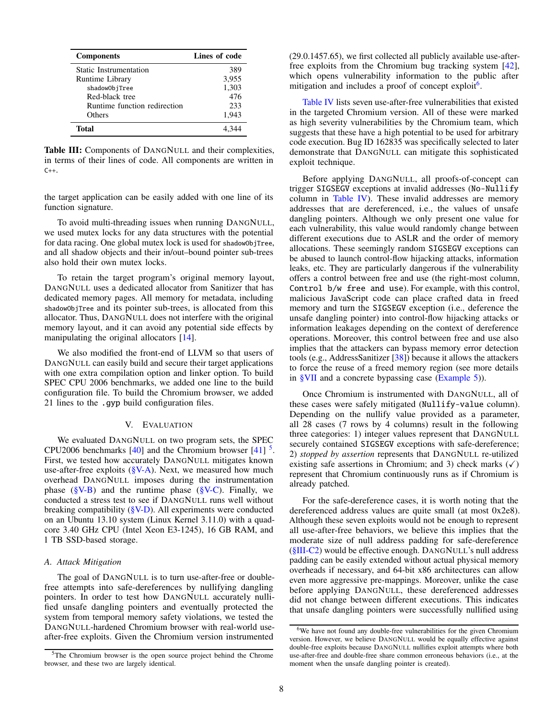| <b>Components</b>            | Lines of code |
|------------------------------|---------------|
| Static Instrumentation       | 389           |
| Runtime Library              | 3,955         |
| shadow0bjTree                | 1,303         |
| Red-black tree               | 476           |
| Runtime function redirection | 233           |
| Others                       | 1,943         |
| Total                        |               |

<span id="page-7-2"></span>Table III: Components of DANGNULL and their complexities, in terms of their lines of code. All components are written in C++.

the target application can be easily added with one line of its function signature.

To avoid multi-threading issues when running DANGNULL, we used mutex locks for any data structures with the potential for data racing. One global mutex lock is used for shadowObjTree, and all shadow objects and their in/out–bound pointer sub-trees also hold their own mutex locks.

To retain the target program's original memory layout, DANGNULL uses a dedicated allocator from Sanitizer that has dedicated memory pages. All memory for metadata, including shadowObjTree and its pointer sub-trees, is allocated from this allocator. Thus, DANGNULL does not interfere with the original memory layout, and it can avoid any potential side effects by manipulating the original allocators [\[14\]](#page-14-26).

We also modified the front-end of LLVM so that users of DANGNULL can easily build and secure their target applications with one extra compilation option and linker option. To build SPEC CPU 2006 benchmarks, we added one line to the build configuration file. To build the Chromium browser, we added 21 lines to the .gyp build configuration files.

#### V. EVALUATION

<span id="page-7-0"></span>We evaluated DANGNULL on two program sets, the SPEC CPU2006 benchmarks  $[40]$  and the Chromium browser  $[41]$ <sup>[5](#page-7-3)</sup>. First, we tested how accurately DANGNULL mitigates known use-after-free exploits  $(\S{V-A})$ . Next, we measured how much overhead DANGNULL imposes during the instrumentation phase ( $\sqrt{\ }$ V-B) and the runtime phase ( $\sqrt{\ }$ V-C). Finally, we conducted a stress test to see if DANGNULL runs well without breaking compatibility [\(§V-D\)](#page-10-1). All experiments were conducted on an Ubuntu 13.10 system (Linux Kernel 3.11.0) with a quadcore 3.40 GHz CPU (Intel Xeon E3-1245), 16 GB RAM, and 1 TB SSD-based storage.

#### <span id="page-7-1"></span>*A. Attack Mitigation*

The goal of DANGNULL is to turn use-after-free or doublefree attempts into safe-dereferences by nullifying dangling pointers. In order to test how DANGNULL accurately nullified unsafe dangling pointers and eventually protected the system from temporal memory safety violations, we tested the DANGNULL-hardened Chromium browser with real-world useafter-free exploits. Given the Chromium version instrumented (29.0.1457.65), we first collected all publicly available use-afterfree exploits from the Chromium bug tracking system [\[42\]](#page-14-22), which opens vulnerability information to the public after mitigation and includes a proof of concept exploit<sup>[6](#page-7-4)</sup>.

[Table IV](#page-9-1) lists seven use-after-free vulnerabilities that existed in the targeted Chromium version. All of these were marked as high severity vulnerabilities by the Chromium team, which suggests that these have a high potential to be used for arbitrary code execution. Bug ID 162835 was specifically selected to later demonstrate that DANGNULL can mitigate this sophisticated exploit technique.

Before applying DANGNULL, all proofs-of-concept can trigger SIGSEGV exceptions at invalid addresses (No-Nullify column in [Table IV\)](#page-9-1). These invalid addresses are memory addresses that are dereferenced, i.e., the values of unsafe dangling pointers. Although we only present one value for each vulnerability, this value would randomly change between different executions due to ASLR and the order of memory allocations. These seemingly random SIGSEGV exceptions can be abused to launch control-flow hijacking attacks, information leaks, etc. They are particularly dangerous if the vulnerability offers a control between free and use (the right-most column, Control b/w free and use). For example, with this control, malicious JavaScript code can place crafted data in freed memory and turn the SIGSEGV exception (i.e., deference the unsafe dangling pointer) into control-flow hijacking attacks or information leakages depending on the context of dereference operations. Moreover, this control between free and use also implies that the attackers can bypass memory error detection tools (e.g., AddressSanitizer [\[38\]](#page-14-4)) because it allows the attackers to force the reuse of a freed memory region (see more details in [§VII](#page-11-0) and a concrete bypassing case [\(Example 5\)](#page-13-6)).

Once Chromium is instrumented with DANGNULL, all of these cases were safely mitigated (Nullify-value column). Depending on the nullify value provided as a parameter, all 28 cases (7 rows by 4 columns) result in the following three categories: 1) integer values represent that DANGNULL securely contained SIGSEGV exceptions with safe-dereference; 2) *stopped by assertion* represents that DANGNULL re-utilized existing safe assertions in Chromium; and 3) check marks  $(\checkmark)$ represent that Chromium continuously runs as if Chromium is already patched.

For the safe-dereference cases, it is worth noting that the dereferenced address values are quite small (at most 0x2e8). Although these seven exploits would not be enough to represent all use-after-free behaviors, we believe this implies that the moderate size of null address padding for safe-dereference [\(§III-C2\)](#page-5-0) would be effective enough. DANGNULL's null address padding can be easily extended without actual physical memory overheads if necessary, and 64-bit x86 architectures can allow even more aggressive pre-mappings. Moreover, unlike the case before applying DANGNULL, these dereferenced addresses did not change between different executions. This indicates that unsafe dangling pointers were successfully nullified using

<span id="page-7-3"></span><sup>5</sup>The Chromium browser is the open source project behind the Chrome browser, and these two are largely identical.

<span id="page-7-4"></span><sup>&</sup>lt;sup>6</sup>We have not found any double-free vulnerabilities for the given Chromium version. However, we believe DANGNULL would be equally effective against double-free exploits because DANGNULL nullifies exploit attempts where both use-after-free and double-free share common erroneous behaviors (i.e., at the moment when the unsafe dangling pointer is created).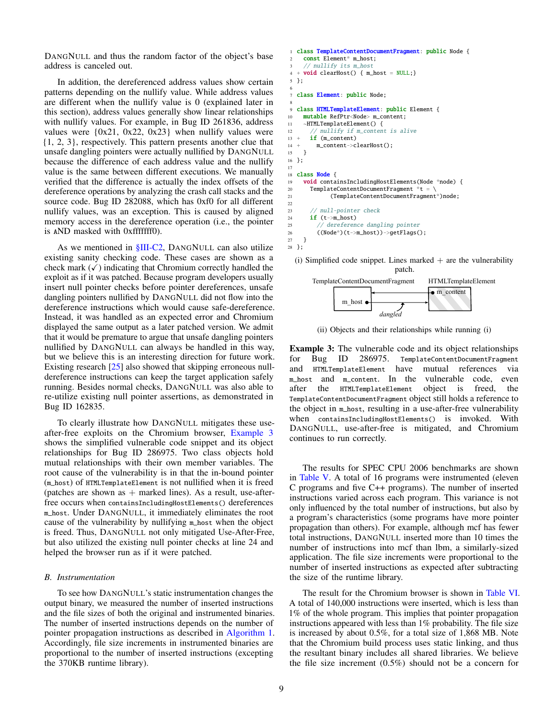DANGNULL and thus the random factor of the object's base address is canceled out.

In addition, the dereferenced address values show certain patterns depending on the nullify value. While address values are different when the nullify value is 0 (explained later in this section), address values generally show linear relationships with nullify values. For example, in Bug ID 261836, address values were  $\{0x21, 0x22, 0x23\}$  when nullify values were {1, 2, 3}, respectively. This pattern presents another clue that unsafe dangling pointers were actually nullified by DANGNULL because the difference of each address value and the nullify value is the same between different executions. We manually verified that the difference is actually the index offsets of the dereference operations by analyzing the crash call stacks and the source code. Bug ID 282088, which has 0xf0 for all different nullify values, was an exception. This is caused by aligned memory access in the dereference operation (i.e., the pointer is AND masked with 0xfffffff0).

As we mentioned in  $$III-C2$ , DANGNULL can also utilize existing sanity checking code. These cases are shown as a check mark  $(\checkmark)$  indicating that Chromium correctly handled the exploit as if it was patched. Because program developers usually insert null pointer checks before pointer dereferences, unsafe dangling pointers nullified by DANGNULL did not flow into the dereference instructions which would cause safe-dereference. Instead, it was handled as an expected error and Chromium displayed the same output as a later patched version. We admit that it would be premature to argue that unsafe dangling pointers nullified by DANGNULL can always be handled in this way, but we believe this is an interesting direction for future work. Existing research [\[25\]](#page-14-29) also showed that skipping erroneous nulldereference instructions can keep the target application safely running. Besides normal checks, DANGNULL was also able to re-utilize existing null pointer assertions, as demonstrated in Bug ID 162835.

To clearly illustrate how DANGNULL mitigates these useafter-free exploits on the Chromium browser, [Example 3](#page-8-1) shows the simplified vulnerable code snippet and its object relationships for Bug ID 286975. Two class objects hold mutual relationships with their own member variables. The root cause of the vulnerability is in that the in-bound pointer (m\_host) of HTMLTemplateElement is not nullified when it is freed (patches are shown as  $+$  marked lines). As a result, use-afterfree occurs when containsIncludingHostElements() dereferences m\_host. Under DANGNULL, it immediately eliminates the root cause of the vulnerability by nullifying m\_host when the object is freed. Thus, DANGNULL not only mitigated Use-After-Free, but also utilized the existing null pointer checks at line 24 and helped the browser run as if it were patched.

#### <span id="page-8-0"></span>*B. Instrumentation*

To see how DANGNULL's static instrumentation changes the output binary, we measured the number of inserted instructions and the file sizes of both the original and instrumented binaries. The number of inserted instructions depends on the number of pointer propagation instructions as described in [Algorithm 1.](#page-4-3) Accordingly, file size increments in instrumented binaries are proportional to the number of inserted instructions (excepting the 370KB runtime library).

```
1 class TemplateContentDocumentFragment: public Node {
     const Element* m_host;
     // nullify its m_host
  + void clearHost() { m_host = NULL;}
5 };
 6
  class Element: public Node;
 8
9 class HTMLTemplateElement: public Element {
10 mutable RefPtr<Node> m_content;
11 ~HTMLTemplateElement() {
12 // nullify if m_content is alive
13 + i\mathbf{f} (m content)
14 + m_content->clearHost();
15 }
16 };
17
18 class Node {
19 void containsIncludingHostElements(Node *node) {
20 TemplateContentDocumentFragment *t = \
21 (TemplateContentDocumentFragment*)node;
22
23 // null-pointer check<br>24 if (t->m host)
       if (t-\geq m\_host)25 // dereference dangling pointer
26 ((Node*)(t->m_host))->getFlags();<br>27 }
    \mathcal{F}
```
(i) Simplified code snippet. Lines marked  $+$  are the vulnerability patch.



(ii) Objects and their relationships while running (i)

<span id="page-8-1"></span>Example 3: The vulnerable code and its object relationships for Bug ID 286975. TemplateContentDocumentFragment and HTMLTemplateElement have mutual references via m\_host and m\_content. In the vulnerable code, even after the HTMLTemplateElement object is freed, the TemplateContentDocumentFragment object still holds a reference to the object in m\_host, resulting in a use-after-free vulnerability when containsIncludingHostElements() is invoked. With DANGNULL, use-after-free is mitigated, and Chromium continues to run correctly.

The results for SPEC CPU 2006 benchmarks are shown in [Table V.](#page-9-2) A total of 16 programs were instrumented (eleven C programs and five C++ programs). The number of inserted instructions varied across each program. This variance is not only influenced by the total number of instructions, but also by a program's characteristics (some programs have more pointer propagation than others). For example, although mcf has fewer total instructions, DANGNULL inserted more than 10 times the number of instructions into mcf than lbm, a similarly-sized application. The file size increments were proportional to the number of inserted instructions as expected after subtracting the size of the runtime library.

The result for the Chromium browser is shown in [Table VI.](#page-9-3) A total of 140,000 instructions were inserted, which is less than 1% of the whole program. This implies that pointer propagation instructions appeared with less than 1% probability. The file size is increased by about 0.5%, for a total size of 1,868 MB. Note that the Chromium build process uses static linking, and thus the resultant binary includes all shared libraries. We believe the file size increment (0.5%) should not be a concern for

28 };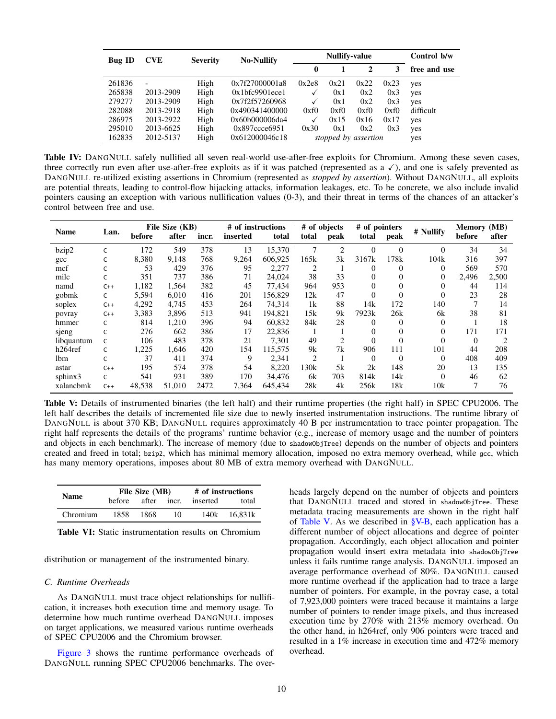| <b>Bug ID</b> | <b>CVE</b>               | <b>Severity</b> | <b>No-Nullify</b> |       | <b>Nullify-value</b> | Control b/w          |              |           |
|---------------|--------------------------|-----------------|-------------------|-------|----------------------|----------------------|--------------|-----------|
|               |                          |                 | 0                 |       | $\mathbf{2}$         | 3                    | free and use |           |
| 261836        | $\overline{\phantom{0}}$ | High            | 0x7f27000001a8    | 0x2e8 | 0x21                 | 0x22                 | 0x23         | yes       |
| 265838        | 2013-2909                | High            | 0x1bfc9901ecel    | v     | 0x1                  | 0x2                  | 0x3          | yes       |
| 279277        | 2013-2909                | High            | 0x7f2f57260968    |       | 0x1                  | 0x2                  | 0x3          | yes       |
| 282088        | 2013-2918                | High            | 0x490341400000    | 0xf0  | 0xf0                 | 0xf0                 | 0xf0         | difficult |
| 286975        | 2013-2922                | High            | 0x60b000006da4    |       | 0x15                 | 0x16                 | 0x17         | yes       |
| 295010        | 2013-6625                | High            | 0x897ccce6951     | 0x30  | 0x1                  | 0x2                  | 0x3          | yes       |
| 162835        | 2012-5137                | High            | 0x612000046c18    |       |                      | stopped by assertion |              | yes       |

<span id="page-9-1"></span>Table IV: DANGNULL safely nullified all seven real-world use-after-free exploits for Chromium. Among these seven cases, three correctly run even after use-after-free exploits as if it was patched (represented as  $a \checkmark$ ), and one is safely prevented as DANGNULL re-utilized existing assertions in Chromium (represented as *stopped by assertion*). Without DANGNULL, all exploits are potential threats, leading to control-flow hijacking attacks, information leakages, etc. To be concrete, we also include invalid pointers causing an exception with various nullification values (0-3), and their threat in terms of the chances of an attacker's control between free and use.

| <b>Name</b>  | Lan.  | File Size (KB) |        |       | # of instructions |         | # of objects   |                | # of pointers |          |           | <b>Memory</b> (MB) |       |
|--------------|-------|----------------|--------|-------|-------------------|---------|----------------|----------------|---------------|----------|-----------|--------------------|-------|
|              |       | before         | after  | incr. | inserted          | total   | total          | peak           | total         | peak     | # Nullify | before             | after |
| bzip2        | C     | 172            | 549    | 378   | 13                | 15,370  | 7              | $\overline{2}$ | $\theta$      | $\Omega$ | $\Omega$  | 34                 | 34    |
| $_{\rm gcc}$ | C     | 8,380          | 9.148  | 768   | 9,264             | 606.925 | 165k           | 3k             | 3167k         | 178k     | 104k      | 316                | 397   |
| mcf          |       | 53             | 429    | 376   | 95                | 2,277   | 2              | 1              | $\Omega$      | $\Omega$ | $\Omega$  | 569                | 570   |
| milc         |       | 351            | 737    | 386   | 71                | 24,024  | 38             | 33             | $\Omega$      | $\Omega$ | $\Omega$  | 2,496              | 2,500 |
| namd         | $C++$ | 1,182          | 1,564  | 382   | 45                | 77,434  | 964            | 953            | $\Omega$      | $\Omega$ | $\theta$  | 44                 | 114   |
| gobmk        | C     | 5,594          | 6,010  | 416   | 201               | 156,829 | 12k            | 47             | $\Omega$      | $\Omega$ | $\Omega$  | 23                 | 28    |
| soplex       | $C++$ | 4,292          | 4.745  | 453   | 264               | 74,314  | 1k             | 88             | 14k           | 172      | 140       |                    | 14    |
| povray       | $C++$ | 3,383          | 3.896  | 513   | 941               | 194,821 | 15k            | 9k             | 7923k         | 26k      | 6k        | 38                 | 81    |
| hmmer        | C     | 814            | 1,210  | 396   | 94                | 60,832  | 84k            | 28             | $\Omega$      | $\Omega$ | $\Omega$  |                    | 18    |
| sjeng        | C     | 276            | 662    | 386   | 17                | 22,836  |                |                | $\Omega$      | $\Omega$ | $\Omega$  | 171                | 171   |
| libquantum   |       | 106            | 483    | 378   | 21                | 7,301   | 49             | 2              | $\Omega$      | $\Omega$ | $\Omega$  | $\Omega$           |       |
| h264ref      | C     | 1,225          | 1,646  | 420   | 154               | 115,575 | 9k             | 7k             | 906           | 111      | 101       | 44                 | 208   |
| lbm          |       | 37             | 411    | 374   | 9                 | 2,341   | $\overline{c}$ |                | $\Omega$      | $\Omega$ | $\Omega$  | 408                | 409   |
| astar        | $C++$ | 195            | 574    | 378   | 54                | 8,220   | 130k           | 5k             | 2k            | 148      | 20        | 13                 | 135   |
| sphinx3      | C     | 541            | 931    | 389   | 170               | 34,476  | 6k             | 703            | 814k          | 14k      | $\Omega$  | 46                 | 62    |
| xalancbmk    | $C++$ | 48,538         | 51.010 | 2472  | 7,364             | 645,434 | 28k            | 4k             | 256k          | 18k      | 10k       |                    | 76    |

<span id="page-9-2"></span>Table V: Details of instrumented binaries (the left half) and their runtime properties (the right half) in SPEC CPU2006. The left half describes the details of incremented file size due to newly inserted instrumentation instructions. The runtime library of DANGNULL is about 370 KB; DANGNULL requires approximately 40 B per instrumentation to trace pointer propagation. The right half represents the details of the programs' runtime behavior (e.g., increase of memory usage and the number of pointers and objects in each benchmark). The increase of memory (due to shadowObjTree) depends on the number of objects and pointers created and freed in total; bzip2, which has minimal memory allocation, imposed no extra memory overhead, while gcc, which has many memory operations, imposes about 80 MB of extra memory overhead with DANGNULL.

|             |        | File Size (MB) | # of instructions |          |         |  |
|-------------|--------|----------------|-------------------|----------|---------|--|
| <b>Name</b> | before | after incr.    |                   | inserted | total   |  |
| Chromium    | 1858   | 1868           | 10                | 140k     | 16.831k |  |

<span id="page-9-3"></span>Table VI: Static instrumentation results on Chromium

distribution or management of the instrumented binary.

# <span id="page-9-0"></span>*C. Runtime Overheads*

As DANGNULL must trace object relationships for nullification, it increases both execution time and memory usage. To determine how much runtime overhead DANGNULL imposes on target applications, we measured various runtime overheads of SPEC CPU2006 and the Chromium browser.

[Figure 3](#page-10-2) shows the runtime performance overheads of DANGNULL running SPEC CPU2006 benchmarks. The overheads largely depend on the number of objects and pointers that DANGNULL traced and stored in shadowObjTree. These metadata tracing measurements are shown in the right half of [Table V.](#page-9-2) As we described in [§V-B,](#page-8-0) each application has a different number of object allocations and degree of pointer propagation. Accordingly, each object allocation and pointer propagation would insert extra metadata into shadowObjTree unless it fails runtime range analysis. DANGNULL imposed an average performance overhead of 80%. DANGNULL caused more runtime overhead if the application had to trace a large number of pointers. For example, in the povray case, a total of 7,923,000 pointers were traced because it maintains a large number of pointers to render image pixels, and thus increased execution time by 270% with 213% memory overhead. On the other hand, in h264ref, only 906 pointers were traced and resulted in a 1% increase in execution time and 472% memory overhead.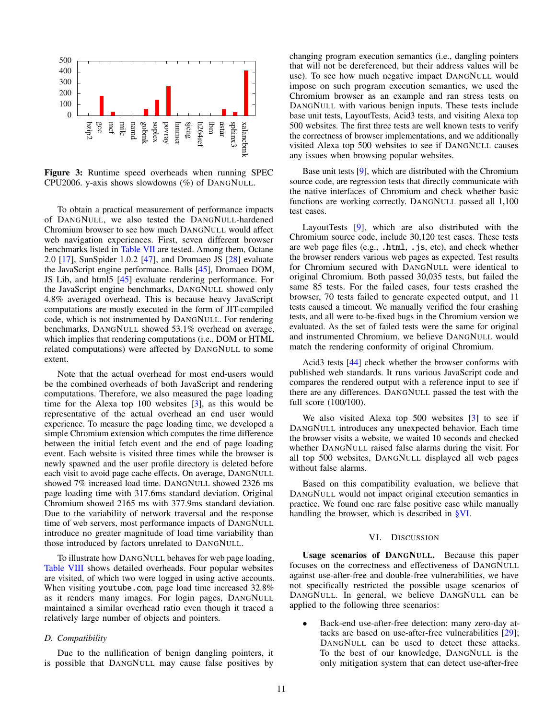

<span id="page-10-2"></span>Figure 3: Runtime speed overheads when running SPEC CPU2006. y-axis shows slowdowns (%) of DANGNULL.

To obtain a practical measurement of performance impacts of DANGNULL, we also tested the DANGNULL-hardened Chromium browser to see how much DANGNULL would affect web navigation experiences. First, seven different browser benchmarks listed in [Table VII](#page-11-1) are tested. Among them, Octane 2.0 [\[17\]](#page-14-30), SunSpider 1.0.2 [\[47\]](#page-14-31), and Dromaeo JS [\[28\]](#page-14-32) evaluate the JavaScript engine performance. Balls [\[45\]](#page-14-33), Dromaeo DOM, JS Lib, and html5 [\[45\]](#page-14-33) evaluate rendering performance. For the JavaScript engine benchmarks, DANGNULL showed only 4.8% averaged overhead. This is because heavy JavaScript computations are mostly executed in the form of JIT-compiled code, which is not instrumented by DANGNULL. For rendering benchmarks, DANGNULL showed 53.1% overhead on average, which implies that rendering computations (i.e., DOM or HTML related computations) were affected by DANGNULL to some extent.

Note that the actual overhead for most end-users would be the combined overheads of both JavaScript and rendering computations. Therefore, we also measured the page loading time for the Alexa top 100 websites [\[3\]](#page-13-7), as this would be representative of the actual overhead an end user would experience. To measure the page loading time, we developed a simple Chromium extension which computes the time difference between the initial fetch event and the end of page loading event. Each website is visited three times while the browser is newly spawned and the user profile directory is deleted before each visit to avoid page cache effects. On average, DANGNULL showed 7% increased load time. DANGNULL showed 2326 ms page loading time with 317.6ms standard deviation. Original Chromium showed 2165 ms with 377.9ms standard deviation. Due to the variability of network traversal and the response time of web servers, most performance impacts of DANGNULL introduce no greater magnitude of load time variability than those introduced by factors unrelated to DANGNULL.

To illustrate how DANGNULL behaves for web page loading, [Table VIII](#page-11-2) shows detailed overheads. Four popular websites are visited, of which two were logged in using active accounts. When visiting youtube.com, page load time increased 32.8% as it renders many images. For login pages, DANGNULL maintained a similar overhead ratio even though it traced a relatively large number of objects and pointers.

# <span id="page-10-1"></span>*D. Compatibility*

Due to the nullification of benign dangling pointers, it is possible that DANGNULL may cause false positives by changing program execution semantics (i.e., dangling pointers that will not be dereferenced, but their address values will be use). To see how much negative impact DANGNULL would impose on such program execution semantics, we used the Chromium browser as an example and ran stress tests on DANGNULL with various benign inputs. These tests include base unit tests, LayoutTests, Acid3 tests, and visiting Alexa top 500 websites. The first three tests are well known tests to verify the correctness of browser implementations, and we additionally visited Alexa top 500 websites to see if DANGNULL causes any issues when browsing popular websites.

Base unit tests [\[9\]](#page-14-34), which are distributed with the Chromium source code, are regression tests that directly communicate with the native interfaces of Chromium and check whether basic functions are working correctly. DANGNULL passed all 1,100 test cases.

LayoutTests [\[9\]](#page-14-34), which are also distributed with the Chromium source code, include 30,120 test cases. These tests are web page files (e.g., .html, .js, etc), and check whether the browser renders various web pages as expected. Test results for Chromium secured with DANGNULL were identical to original Chromium. Both passed 30,035 tests, but failed the same 85 tests. For the failed cases, four tests crashed the browser, 70 tests failed to generate expected output, and 11 tests caused a timeout. We manually verified the four crashing tests, and all were to-be-fixed bugs in the Chromium version we evaluated. As the set of failed tests were the same for original and instrumented Chromium, we believe DANGNULL would match the rendering conformity of original Chromium.

Acid3 tests [\[44\]](#page-14-35) check whether the browser conforms with published web standards. It runs various JavaScript code and compares the rendered output with a reference input to see if there are any differences. DANGNULL passed the test with the full score (100/100).

We also visited Alexa top 500 websites [\[3\]](#page-13-7) to see if DANGNULL introduces any unexpected behavior. Each time the browser visits a website, we waited 10 seconds and checked whether DANGNULL raised false alarms during the visit. For all top 500 websites, DANGNULL displayed all web pages without false alarms.

Based on this compatibility evaluation, we believe that DANGNULL would not impact original execution semantics in practice. We found one rare false positive case while manually handling the browser, which is described in [§VI.](#page-10-0)

#### VI. DISCUSSION

<span id="page-10-0"></span>Usage scenarios of DANGNULL. Because this paper focuses on the correctness and effectiveness of DANGNULL against use-after-free and double-free vulnerabilities, we have not specifically restricted the possible usage scenarios of DANGNULL. In general, we believe DANGNULL can be applied to the following three scenarios:

• Back-end use-after-free detection: many zero-day attacks are based on use-after-free vulnerabilities [\[29\]](#page-14-36); DANGNULL can be used to detect these attacks. To the best of our knowledge, DANGNULL is the only mitigation system that can detect use-after-free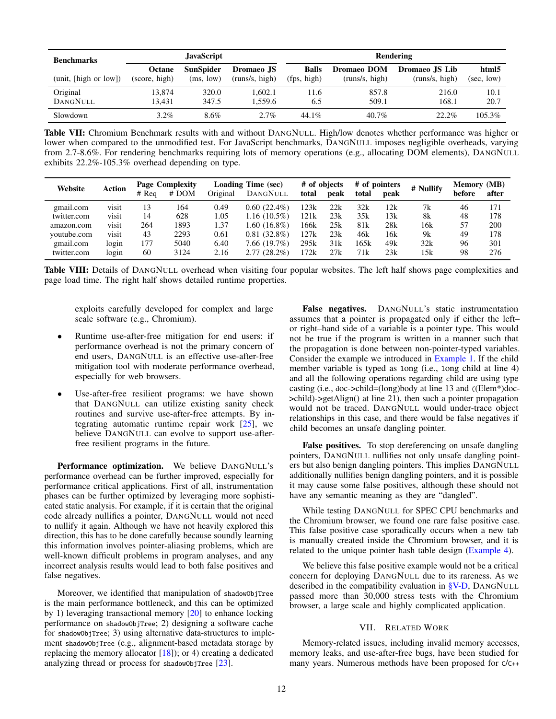| <b>Benchmarks</b><br>(unit, [high or low]) |                         | <b>JavaScript</b>             |                                     | Rendering                   |                               |                                  |                     |  |  |  |
|--------------------------------------------|-------------------------|-------------------------------|-------------------------------------|-----------------------------|-------------------------------|----------------------------------|---------------------|--|--|--|
|                                            | Octane<br>(score, high) | <b>SunSpider</b><br>(ms, low) | <b>Dromaeo</b> JS<br>(runs/s, high) | <b>Balls</b><br>(fps, high) | Dromaeo DOM<br>(runs/s, high) | Dromaeo JS Lib<br>(runs/s, high) | html5<br>(sec, low) |  |  |  |
| Original<br>DANGNULL                       | 13.874<br>13.431        | 320.0<br>347.5                | 1.602.1<br>1.559.6                  | 11.6<br>6.5                 | 857.8<br>509.1                | 216.0<br>168.1                   | 10.1<br>20.7        |  |  |  |
| Slowdown                                   | $3.2\%$                 | 8.6%                          | $2.7\%$                             | $44.1\%$                    | $40.7\%$                      | $22.2\%$                         | $105.3\%$           |  |  |  |

Table VII: Chromium Benchmark results with and without DANGNULL. High/low denotes whether performance was higher or lower when compared to the unmodified test. For JavaScript benchmarks, DANGNULL imposes negligible overheads, varying from 2.7-8.6%. For rendering benchmarks requiring lots of memory operations (e.g., allocating DOM elements), DANGNULL exhibits 22.2%-105.3% overhead depending on type.

| Website     | Action | # Reg | <b>Page Complexity</b><br>$#$ DOM | Original | Loading Time (sec)<br>DANGNULL | # of objects<br>total | peak | total | # of pointers<br>peak | # Nullify | <b>Memory</b> (MB)<br>before | after |
|-------------|--------|-------|-----------------------------------|----------|--------------------------------|-----------------------|------|-------|-----------------------|-----------|------------------------------|-------|
| gmail.com   | visit  | 13    | 164                               | 0.49     | $0.60(22.4\%)$                 | 123k                  | 22k  | 32k   | 12k                   | 7k        | 46                           | 171   |
| twitter.com | visit  | 14    | 628                               | 1.05     | $1.16(10.5\%)$                 | 121k                  | 23k  | 35k   | 13k                   | 8k        | 48                           | 178   |
| amazon.com  | visit  | 264   | 1893                              | 1.37     | $1.60(16.8\%)$                 | 166k                  | 25k  | 81k   | 28k                   | 16k       | 57                           | 200   |
| youtube.com | visit  | 43    | 2293                              | 0.61     | $0.81(32.8\%)$                 | 127k                  | 23k  | 46k   | 16k                   | 9k        | 49                           | 178   |
| gmail.com   | login  | 177   | 5040                              | 6.40     | 7.66(19.7%)                    | 295k                  | 31k  | 165k  | 49k                   | 32k       | 96                           | 301   |
| twitter.com | login  | 60    | 3124                              | 2.16     | $2.77(28.2\%)$                 | .72k                  | 27k  | 71k   | 23k                   | 15k       | 98                           | 276   |

Table VIII: Details of DANGNULL overhead when visiting four popular websites. The left half shows page complexities and page load time. The right half shows detailed runtime properties.

exploits carefully developed for complex and large scale software (e.g., Chromium).

- Runtime use-after-free mitigation for end users: if performance overhead is not the primary concern of end users, DANGNULL is an effective use-after-free mitigation tool with moderate performance overhead, especially for web browsers.
- Use-after-free resilient programs: we have shown that DANGNULL can utilize existing sanity check routines and survive use-after-free attempts. By integrating automatic runtime repair work [\[25\]](#page-14-29), we believe DANGNULL can evolve to support use-afterfree resilient programs in the future.

Performance optimization. We believe DANGNULL's performance overhead can be further improved, especially for performance critical applications. First of all, instrumentation phases can be further optimized by leveraging more sophisticated static analysis. For example, if it is certain that the original code already nullifies a pointer, DANGNULL would not need to nullify it again. Although we have not heavily explored this direction, this has to be done carefully because soundly learning this information involves pointer-aliasing problems, which are well-known difficult problems in program analyses, and any incorrect analysis results would lead to both false positives and false negatives.

Moreover, we identified that manipulation of shadowObjTree is the main performance bottleneck, and this can be optimized by 1) leveraging transactional memory [\[20\]](#page-14-37) to enhance locking performance on shadowObjTree; 2) designing a software cache for shadowObjTree; 3) using alternative data-structures to implement shadowObjTree (e.g., alignment-based metadata storage by replacing the memory allocator  $[18]$ ; or 4) creating a dedicated analyzing thread or process for shadowObjTree [\[23\]](#page-14-39).

<span id="page-11-2"></span><span id="page-11-1"></span>False negatives. DANGNULL's static instrumentation assumes that a pointer is propagated only if either the left– or right–hand side of a variable is a pointer type. This would not be true if the program is written in a manner such that the propagation is done between non-pointer-typed variables. Consider the example we introduced in [Example 1.](#page-2-1) If the child member variable is typed as long (i.e., long child at line 4) and all the following operations regarding child are using type casting (i.e., doc->child=(long)body at line 13 and ((Elem\*)doc- >child)->getAlign() at line 21), then such a pointer propagation would not be traced. DANGNULL would under-trace object relationships in this case, and there would be false negatives if child becomes an unsafe dangling pointer.

False positives. To stop dereferencing on unsafe dangling pointers, DANGNULL nullifies not only unsafe dangling pointers but also benign dangling pointers. This implies DANGNULL additionally nullifies benign dangling pointers, and it is possible it may cause some false positives, although these should not have any semantic meaning as they are "dangled".

While testing DANGNULL for SPEC CPU benchmarks and the Chromium browser, we found one rare false positive case. This false positive case sporadically occurs when a new tab is manually created inside the Chromium browser, and it is related to the unique pointer hash table design [\(Example 4\)](#page-12-0).

We believe this false positive example would not be a critical concern for deploying DANGNULL due to its rareness. As we described in the compatibility evaluation in [§V-D,](#page-10-1) DANGNULL passed more than 30,000 stress tests with the Chromium browser, a large scale and highly complicated application.

# VII. RELATED WORK

<span id="page-11-0"></span>Memory-related issues, including invalid memory accesses, memory leaks, and use-after-free bugs, have been studied for many years. Numerous methods have been proposed for C/C++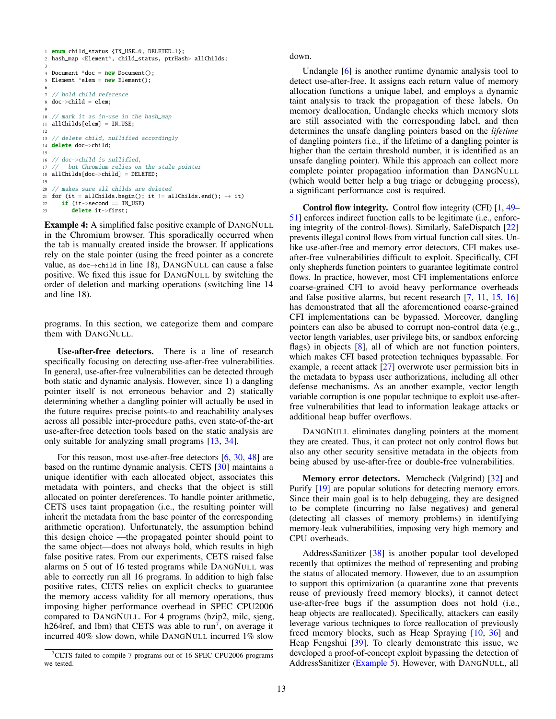```
1 enum child_status {IN_USE=0, DELETED=1};
2 hash_map <Element*, child_status, ptrHash> allChilds;
 3
4 Document *doc = new Document():
5 Element *elem = new Element();
6
7 // hold child reference
8 doc->child = elem;
 9
10 // mark it as in-use in the hash_map
11 allChilds[elem] = IN_USE;
12
13 // delete child, nullified accordingly
14 delete doc->child;
15
16 // doc->child is nullified,
17 // but Chromium relies on the stale pointer
18 allChilds[doc->child] = DELETED;
19
20 // makes sure all childs are deleted
21 for (it = allChilds.begin(); it != allChilds.end(); ++ it)
22 if (it->second == IN_USE)
23 delete it->first;
```
<span id="page-12-0"></span>Example 4: A simplified false positive example of DANGNULL in the Chromium browser. This sporadically occurred when the tab is manually created inside the browser. If applications rely on the stale pointer (using the freed pointer as a concrete value, as doc→child in line 18), DANGNULL can cause a false positive. We fixed this issue for DANGNULL by switching the order of deletion and marking operations (switching line 14 and line 18).

programs. In this section, we categorize them and compare them with DANGNULL.

Use-after-free detectors. There is a line of research specifically focusing on detecting use-after-free vulnerabilities. In general, use-after-free vulnerabilities can be detected through both static and dynamic analysis. However, since 1) a dangling pointer itself is not erroneous behavior and 2) statically determining whether a dangling pointer will actually be used in the future requires precise points-to and reachability analyses across all possible inter-procedure paths, even state-of-the-art use-after-free detection tools based on the static analysis are only suitable for analyzing small programs [\[13,](#page-14-7) [34\]](#page-14-8).

For this reason, most use-after-free detectors [\[6,](#page-13-2) [30,](#page-14-2) [48\]](#page-14-5) are based on the runtime dynamic analysis. CETS [\[30\]](#page-14-2) maintains a unique identifier with each allocated object, associates this metadata with pointers, and checks that the object is still allocated on pointer dereferences. To handle pointer arithmetic, CETS uses taint propagation (i.e., the resulting pointer will inherit the metadata from the base pointer of the corresponding arithmetic operation). Unfortunately, the assumption behind this design choice —the propagated pointer should point to the same object—does not always hold, which results in high false positive rates. From our experiments, CETS raised false alarms on 5 out of 16 tested programs while DANGNULL was able to correctly run all 16 programs. In addition to high false positive rates, CETS relies on explicit checks to guarantee the memory access validity for all memory operations, thus imposing higher performance overhead in SPEC CPU2006 compared to DANGNULL. For 4 programs (bzip2, milc, sjeng, h26 $\overline{4}$ ref, and lbm) that CETS was able to run<sup>[7](#page-12-1)</sup>, on average it incurred 40% slow down, while DANGNULL incurred 1% slow down.

Undangle [\[6\]](#page-13-2) is another runtime dynamic analysis tool to detect use-after-free. It assigns each return value of memory allocation functions a unique label, and employs a dynamic taint analysis to track the propagation of these labels. On memory deallocation, Undangle checks which memory slots are still associated with the corresponding label, and then determines the unsafe dangling pointers based on the *lifetime* of dangling pointers (i.e., if the lifetime of a dangling pointer is higher than the certain threshold number, it is identified as an unsafe dangling pointer). While this approach can collect more complete pointer propagation information than DANGNULL (which would better help a bug triage or debugging process), a significant performance cost is required.

Control flow integrity. Control flow integrity (CFI) [\[1,](#page-13-8) [49–](#page-14-40) [51\]](#page-14-11) enforces indirect function calls to be legitimate (i.e., enforcing integrity of the control-flows). Similarly, SafeDispatch [\[22\]](#page-14-12) prevents illegal control flows from virtual function call sites. Unlike use-after-free and memory error detectors, CFI makes useafter-free vulnerabilities difficult to exploit. Specifically, CFI only shepherds function pointers to guarantee legitimate control flows. In practice, however, most CFI implementations enforce coarse-grained CFI to avoid heavy performance overheads and false positive alarms, but recent research [\[7,](#page-13-3) [11,](#page-14-17) [15,](#page-14-18) [16\]](#page-14-19) has demonstrated that all the aforementioned coarse-grained CFI implementations can be bypassed. Moreover, dangling pointers can also be abused to corrupt non-control data (e.g., vector length variables, user privilege bits, or sandbox enforcing flags) in objects [\[8\]](#page-13-4), all of which are not function pointers, which makes CFI based protection techniques bypassable. For example, a recent attack [\[27\]](#page-14-20) overwrote user permission bits in the metadata to bypass user authorizations, including all other defense mechanisms. As an another example, vector length variable corruption is one popular technique to exploit use-afterfree vulnerabilities that lead to information leakage attacks or additional heap buffer overflows.

DANGNULL eliminates dangling pointers at the moment they are created. Thus, it can protect not only control flows but also any other security sensitive metadata in the objects from being abused by use-after-free or double-free vulnerabilities.

Memory error detectors. Memcheck (Valgrind) [\[32\]](#page-14-9) and Purify [\[19\]](#page-14-1) are popular solutions for detecting memory errors. Since their main goal is to help debugging, they are designed to be complete (incurring no false negatives) and general (detecting all classes of memory problems) in identifying memory-leak vulnerabilities, imposing very high memory and CPU overheads.

AddressSanitizer [\[38\]](#page-14-4) is another popular tool developed recently that optimizes the method of representing and probing the status of allocated memory. However, due to an assumption to support this optimization (a quarantine zone that prevents reuse of previously freed memory blocks), it cannot detect use-after-free bugs if the assumption does not hold (i.e., heap objects are reallocated). Specifically, attackers can easily leverage various techniques to force reallocation of previously freed memory blocks, such as Heap Spraying [\[10,](#page-14-13) [36\]](#page-14-14) and Heap Fengshui [\[39\]](#page-14-15). To clearly demonstrate this issue, we developed a proof-of-concept exploit bypassing the detection of AddressSanitizer [\(Example 5\)](#page-13-6). However, with DANGNULL, all

<span id="page-12-1"></span><sup>7</sup>CETS failed to compile 7 programs out of 16 SPEC CPU2006 programs we tested.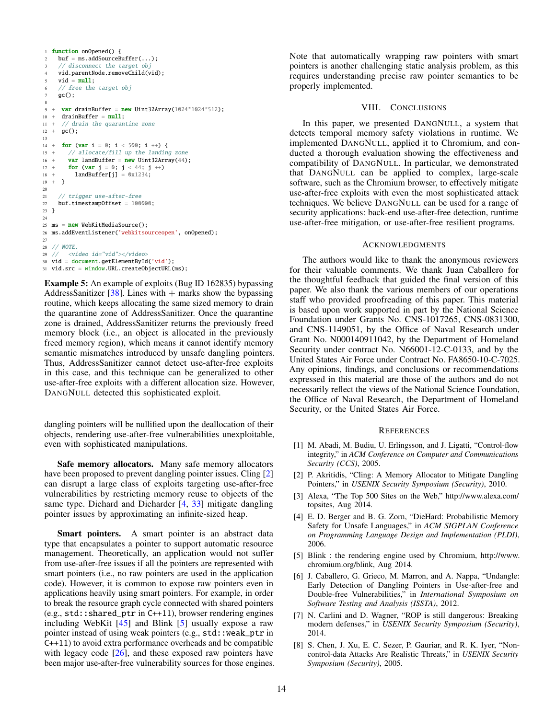```
1 function onOpened() {
2 buf = ms.addSourceBuffer(...);
 3 // disconnect the target obj
 4 vid.parentNode.removeChild(vid);
 5 vid = null:
     // free the target obj
     \mathsf{ac}();
 8
9 + var drainBuffer = new Uint32Array(1024*1024*512);
10 + drainBuffer = null;11 + // drain the quarantine zone
12 + qc();
13
14 + for (var i = 0; i < 500; i ++) {
15 + // allocate/fill up the landing zone
16 + var landBuffer = new Uint32Array(44);
17 + for (var j = 0; j < 44; j +1)
18 + landBuffer[j] = 0x1234;
19 + }
20
21 // trigger use-after-free
22 buf.timestampOffset = 100000;
23 }
24
25 ms = new WebKitMediaSource();
26 ms.addEventListener('webkitsourceopen', onOpened);
27
28 // NOTE.<br>29 // \langle \text{Vi} \rangle29 // <video id="vid"></video>
30 vid = document.getElementById('vid');
31 vid.src = window.URL.createObjectURL(ms);
```
<span id="page-13-6"></span>Example 5: An example of exploits (Bug ID 162835) bypassing AddressSanitizer [\[38\]](#page-14-4). Lines with  $+$  marks show the bypassing routine, which keeps allocating the same sized memory to drain the quarantine zone of AddressSanitizer. Once the quarantine zone is drained, AddressSanitizer returns the previously freed memory block (i.e., an object is allocated in the previously freed memory region), which means it cannot identify memory semantic mismatches introduced by unsafe dangling pointers. Thus, AddressSanitizer cannot detect use-after-free exploits in this case, and this technique can be generalized to other use-after-free exploits with a different allocation size. However, DANGNULL detected this sophisticated exploit.

dangling pointers will be nullified upon the deallocation of their objects, rendering use-after-free vulnerabilities unexploitable, even with sophisticated manipulations.

Safe memory allocators. Many safe memory allocators have been proposed to prevent dangling pointer issues. Cling [\[2\]](#page-13-0) can disrupt a large class of exploits targeting use-after-free vulnerabilities by restricting memory reuse to objects of the same type. Diehard and Dieharder [\[4,](#page-13-1) [33\]](#page-14-3) mitigate dangling pointer issues by approximating an infinite-sized heap.

Smart pointers. A smart pointer is an abstract data type that encapsulates a pointer to support automatic resource management. Theoretically, an application would not suffer from use-after-free issues if all the pointers are represented with smart pointers (i.e., no raw pointers are used in the application code). However, it is common to expose raw pointers even in applications heavily using smart pointers. For example, in order to break the resource graph cycle connected with shared pointers  $(e.g., std.: shared\_ptr in C++11), browser rendering engines$ including WebKit  $[45]$  and Blink  $[5]$  usually expose a raw pointer instead of using weak pointers (e.g., std::weak\_ptr in C++11) to avoid extra performance overheads and be compatible with legacy code  $[26]$ , and these exposed raw pointers have been major use-after-free vulnerability sources for those engines. Note that automatically wrapping raw pointers with smart pointers is another challenging static analysis problem, as this requires understanding precise raw pointer semantics to be properly implemented.

#### VIII. CONCLUSIONS

<span id="page-13-5"></span>In this paper, we presented DANGNULL, a system that detects temporal memory safety violations in runtime. We implemented DANGNULL, applied it to Chromium, and conducted a thorough evaluation showing the effectiveness and compatibility of DANGNULL. In particular, we demonstrated that DANGNULL can be applied to complex, large-scale software, such as the Chromium browser, to effectively mitigate use-after-free exploits with even the most sophisticated attack techniques. We believe DANGNULL can be used for a range of security applications: back-end use-after-free detection, runtime use-after-free mitigation, or use-after-free resilient programs.

#### ACKNOWLEDGMENTS

The authors would like to thank the anonymous reviewers for their valuable comments. We thank Juan Caballero for the thoughtful feedback that guided the final version of this paper. We also thank the various members of our operations staff who provided proofreading of this paper. This material is based upon work supported in part by the National Science Foundation under Grants No. CNS-1017265, CNS-0831300, and CNS-1149051, by the Office of Naval Research under Grant No. N000140911042, by the Department of Homeland Security under contract No. N66001-12-C-0133, and by the United States Air Force under Contract No. FA8650-10-C-7025. Any opinions, findings, and conclusions or recommendations expressed in this material are those of the authors and do not necessarily reflect the views of the National Science Foundation, the Office of Naval Research, the Department of Homeland Security, or the United States Air Force.

#### **REFERENCES**

- <span id="page-13-8"></span>[1] M. Abadi, M. Budiu, U. Erlingsson, and J. Ligatti, "Control-flow integrity," in *ACM Conference on Computer and Communications Security (CCS)*, 2005.
- <span id="page-13-0"></span>[2] P. Akritidis, "Cling: A Memory Allocator to Mitigate Dangling Pointers," in *USENIX Security Symposium (Security)*, 2010.
- <span id="page-13-7"></span>[3] Alexa, "The Top 500 Sites on the Web," [http://www.alexa.com/](http://www.alexa.com/topsites) [topsites,](http://www.alexa.com/topsites) Aug 2014.
- <span id="page-13-1"></span>[4] E. D. Berger and B. G. Zorn, "DieHard: Probabilistic Memory Safety for Unsafe Languages," in *ACM SIGPLAN Conference on Programming Language Design and Implementation (PLDI)*, 2006.
- <span id="page-13-9"></span>[5] Blink : the rendering engine used by Chromium, [http://www.](http://www.chromium.org/blink) [chromium.org/blink,](http://www.chromium.org/blink) Aug 2014.
- <span id="page-13-2"></span>[6] J. Caballero, G. Grieco, M. Marron, and A. Nappa, "Undangle: Early Detection of Dangling Pointers in Use-after-free and Double-free Vulnerabilities," in *International Symposium on Software Testing and Analysis (ISSTA)*, 2012.
- <span id="page-13-3"></span>[7] N. Carlini and D. Wagner, "ROP is still dangerous: Breaking modern defenses," in *USENIX Security Symposium (Security)*, 2014.
- <span id="page-13-4"></span>[8] S. Chen, J. Xu, E. C. Sezer, P. Gauriar, and R. K. Iyer, "Noncontrol-data Attacks Are Realistic Threats," in *USENIX Security Symposium (Security)*, 2005.